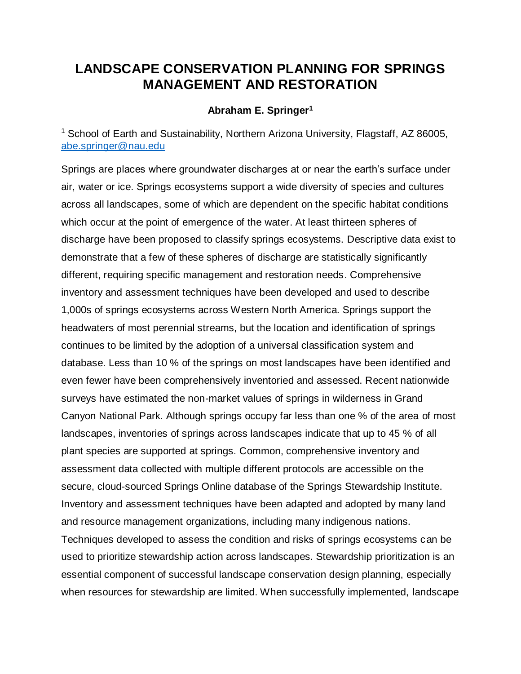## **LANDSCAPE CONSERVATION PLANNING FOR SPRINGS MANAGEMENT AND RESTORATION**

## **Abraham E. Springer<sup>1</sup>**

<sup>1</sup> School of Earth and Sustainability, Northern Arizona University, Flagstaff, AZ 86005, [abe.springer@nau.edu](mailto:abe.springer@nau.edu)

Springs are places where groundwater discharges at or near the earth's surface under air, water or ice. Springs ecosystems support a wide diversity of species and cultures across all landscapes, some of which are dependent on the specific habitat conditions which occur at the point of emergence of the water. At least thirteen spheres of discharge have been proposed to classify springs ecosystems. Descriptive data exist to demonstrate that a few of these spheres of discharge are statistically significantly different, requiring specific management and restoration needs. Comprehensive inventory and assessment techniques have been developed and used to describe 1,000s of springs ecosystems across Western North America. Springs support the headwaters of most perennial streams, but the location and identification of springs continues to be limited by the adoption of a universal classification system and database. Less than 10 % of the springs on most landscapes have been identified and even fewer have been comprehensively inventoried and assessed. Recent nationwide surveys have estimated the non-market values of springs in wilderness in Grand Canyon National Park. Although springs occupy far less than one % of the area of most landscapes, inventories of springs across landscapes indicate that up to 45 % of all plant species are supported at springs. Common, comprehensive inventory and assessment data collected with multiple different protocols are accessible on the secure, cloud-sourced Springs Online database of the Springs Stewardship Institute. Inventory and assessment techniques have been adapted and adopted by many land and resource management organizations, including many indigenous nations. Techniques developed to assess the condition and risks of springs ecosystems can be used to prioritize stewardship action across landscapes. Stewardship prioritization is an essential component of successful landscape conservation design planning, especially when resources for stewardship are limited. When successfully implemented, landscape